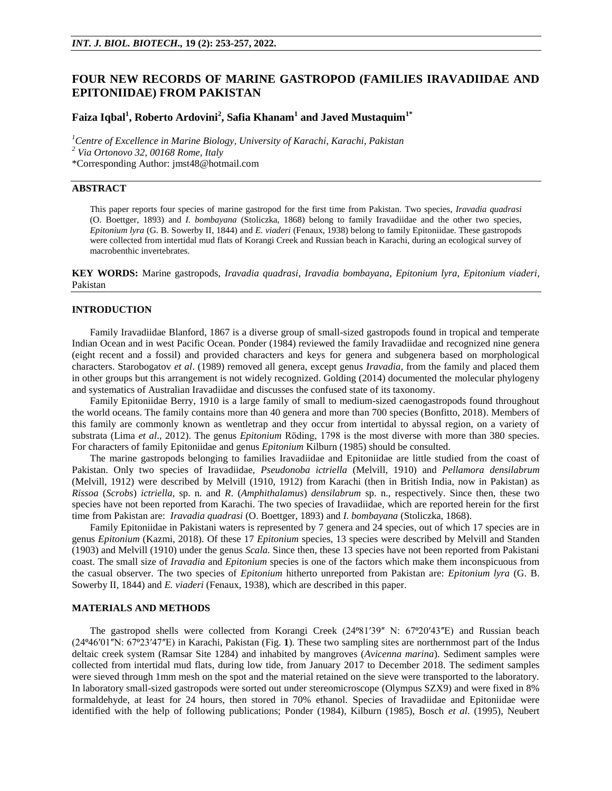## **FOUR NEW RECORDS OF MARINE GASTROPOD (FAMILIES IRAVADIIDAE AND EPITONIIDAE) FROM PAKISTAN**

# **Faiza Iqbal<sup>1</sup> , Roberto Ardovini<sup>2</sup> , Safia Khanam<sup>1</sup> and Javed Mustaquim1\***

*<sup>1</sup>Centre of Excellence in Marine Biology, University of Karachi, Karachi, Pakistan <sup>2</sup> Via Ortonovo 32, 00168 Rome, Italy* \*Corresponding Author: jmst48@hotmail.com

### **ABSTRACT**

This paper reports four species of marine gastropod for the first time from Pakistan. Two species, *Iravadia quadrasi* (O. Boettger, 1893) and *I. bombayana* (Stoliczka, 1868) belong to family Iravadiidae and the other two species, *Epitonium lyra* (G. B. Sowerby II, 1844) and *E. viaderi* (Fenaux, 1938) belong to family Epitoniidae. These gastropods were collected from intertidal mud flats of Korangi Creek and Russian beach in Karachi, during an ecological survey of macrobenthic invertebrates.

**KEY WORDS:** Marine gastropods, *Iravadia quadrasi*, *Iravadia bombayana*, *Epitonium lyra*, *Epitonium viaderi*, Pakistan

### **INTRODUCTION**

Family Iravadiidae Blanford, 1867 is a diverse group of small-sized gastropods found in tropical and temperate Indian Ocean and in west Pacific Ocean. Ponder (1984) reviewed the family Iravadiidae and recognized nine genera (eight recent and a fossil) and provided characters and keys for genera and subgenera based on morphological characters. Starobogatov *et al*. (1989) removed all genera, except genus *Iravadia*, from the family and placed them in other groups but this arrangement is not widely recognized. Golding (2014) documented the molecular phylogeny and systematics of Australian Iravadiidae and discusses the confused state of its taxonomy.

Family Epitoniidae Berry, 1910 is a large family of small to medium-sized caenogastropods found throughout the world oceans. The family contains more than 40 genera and more than 700 species (Bonfitto, 2018). Members of this family are commonly known as wentletrap and they occur from intertidal to abyssal region, on a variety of substrata (Lima *et al.*, 2012). The genus *Epitonium* Röding, 1798 is the most diverse with more than 380 species. For characters of family Epitoniidae and genus *Epitonium* Kilburn (1985) should be consulted.

The marine gastropods belonging to families Iravadiidae and Epitoniidae are little studied from the coast of Pakistan. Only two species of Iravadiidae, *Pseudonoba ictriella* (Melvill, 1910) and *Pellamora densilabrum*  (Melvill, 1912) were described by Melvill (1910, 1912) from Karachi (then in British India, now in Pakistan) as *Rissoa* (*Scrobs*) *ictriella,* sp. n. and *R*. (*Amphithalamus*) *densilabrum* sp. n., respectively. Since then, these two species have not been reported from Karachi. The two species of Iravadiidae, which are reported herein for the first time from Pakistan are: *Iravadia quadrasi* (O. Boettger, 1893) and *I. bombayana* (Stoliczka, 1868).

Family Epitoniidae in Pakistani waters is represented by 7 genera and 24 species, out of which 17 species are in genus *Epitonium* (Kazmi, 2018). Of these 17 *Epitonium* species, 13 species were described by Melvill and Standen (1903) and Melvill (1910) under the genus *Scala.* Since then, these 13 species have not been reported from Pakistani coast. The small size of *Iravadia* and *Epitonium* species is one of the factors which make them inconspicuous from the casual observer. The two species of *Epitonium* hitherto unreported from Pakistan are: *Epitonium lyra* (G. B. Sowerby II, 1844) and *E. viaderi* (Fenaux, 1938), which are described in this paper.

### **MATERIALS AND METHODS**

The gastropod shells were collected from Korangi Creek (24º81'39" N: 67º20'43"E) and Russian beach (24⁰46ʹ01ʺN: 67⁰23ʹ47ʺE) in Karachi, Pakistan (Fig. **1**). These two sampling sites are northernmost part of the Indus deltaic creek system (Ramsar Site 1284) and inhabited by mangroves (*Avicenna marina*). Sediment samples were collected from intertidal mud flats, during low tide, from January 2017 to December 2018. The sediment samples were sieved through 1mm mesh on the spot and the material retained on the sieve were transported to the laboratory. In laboratory small-sized gastropods were sorted out under stereomicroscope (Olympus SZX9) and were fixed in 8% formaldehyde, at least for 24 hours, then stored in 70% ethanol. Species of Iravadiidae and Epitoniidae were identified with the help of following publications; Ponder (1984), Kilburn (1985), Bosch *et al*. (1995), Neubert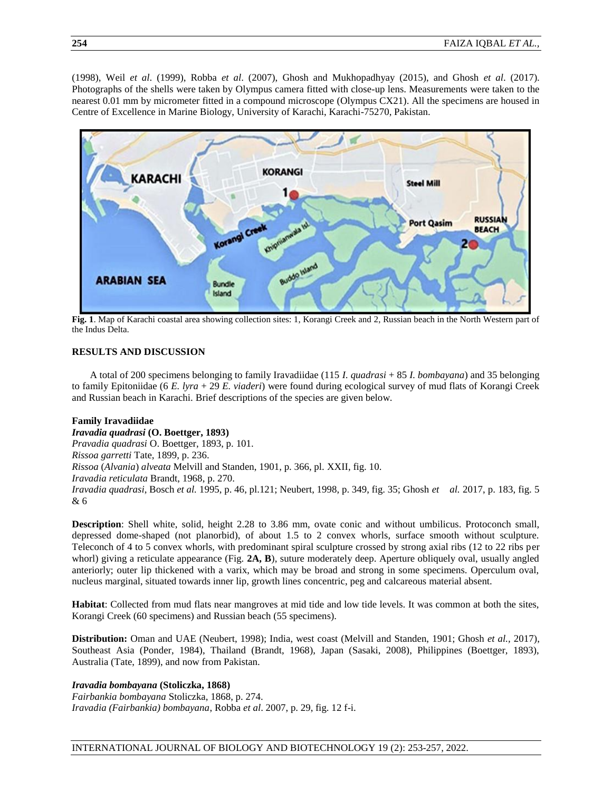(1998), Weil *et al*. (1999), Robba *et al*. (2007), Ghosh and Mukhopadhyay (2015), and Ghosh *et al*. (2017). Photographs of the shells were taken by Olympus camera fitted with close-up lens. Measurements were taken to the nearest 0.01 mm by micrometer fitted in a compound microscope (Olympus CX21). All the specimens are housed in Centre of Excellence in Marine Biology, University of Karachi, Karachi-75270, Pakistan.



**Fig. 1**. Map of Karachi coastal area showing collection sites: 1, Korangi Creek and 2, Russian beach in the North Western part of the Indus Delta.

### **RESULTS AND DISCUSSION**

A total of 200 specimens belonging to family Iravadiidae (115 *I. quadrasi* + 85 *I. bombayana*) and 35 belonging to family Epitoniidae (6 *E. lyra* + 29 *E. viaderi*) were found during ecological survey of mud flats of Korangi Creek and Russian beach in Karachi. Brief descriptions of the species are given below.

## **Family Iravadiidae**  *Iravadia quadrasi* **(O. Boettger, 1893)** *Pravadia quadrasi* O. Boettger, 1893, p. 101. *Rissoa garretti* Tate, 1899, p. 236. *Rissoa* (*Alvania*) *alveata* Melvill and Standen, 1901, p. 366, pl. XXII, fig. 10. *Iravadia reticulata* Brandt, 1968, p. 270. *Iravadia quadrasi*, Bosch *et al.* 1995, p. 46, pl.121; Neubert, 1998, p. 349, fig. 35; Ghosh *et al.* 2017, p. 183, fig. 5 & 6

**Description**: Shell white, solid, height 2.28 to 3.86 mm, ovate conic and without umbilicus. Protoconch small, depressed dome-shaped (not planorbid), of about 1.5 to 2 convex whorls, surface smooth without sculpture. Teleconch of 4 to 5 convex whorls, with predominant spiral sculpture crossed by strong axial ribs (12 to 22 ribs per whorl) giving a reticulate appearance (Fig. 2A, B), suture moderately deep. Aperture obliquely oval, usually angled anteriorly; outer lip thickened with a varix, which may be broad and strong in some specimens. Operculum oval, nucleus marginal, situated towards inner lip, growth lines concentric, peg and calcareous material absent.

**Habitat**: Collected from mud flats near mangroves at mid tide and low tide levels. It was common at both the sites, Korangi Creek (60 specimens) and Russian beach (55 specimens).

**Distribution:** Oman and UAE (Neubert, 1998); India, west coast (Melvill and Standen, 1901; Ghosh *et al.,* 2017), Southeast Asia (Ponder, 1984), Thailand (Brandt, 1968), Japan (Sasaki, 2008), Philippines (Boettger, 1893), Australia (Tate, 1899), and now from Pakistan.

#### *Iravadia bombayana* **(Stoliczka, 1868)**

*Fairbankia bombayana* Stoliczka, 1868, p. 274. *Iravadia (Fairbankia) bombayana*, Robba *et al*. 2007, p. 29, fig. 12 f-i.

### INTERNATIONAL JOURNAL OF BIOLOGY AND BIOTECHNOLOGY 19 (2): 253-257, 2022.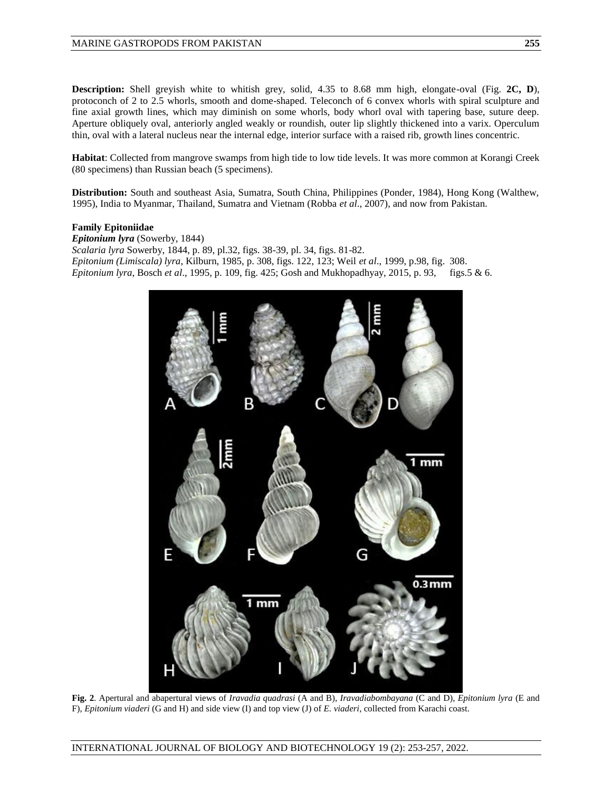**Description:** Shell greyish white to whitish grey, solid, 4.35 to 8.68 mm high, elongate-oval (Fig. 2C, D), protoconch of 2 to 2.5 whorls, smooth and dome-shaped. Teleconch of 6 convex whorls with spiral sculpture and fine axial growth lines, which may diminish on some whorls, body whorl oval with tapering base, suture deep. Aperture obliquely oval, anteriorly angled weakly or roundish, outer lip slightly thickened into a varix. Operculum thin, oval with a lateral nucleus near the internal edge, interior surface with a raised rib, growth lines concentric.

**Habitat**: Collected from mangrove swamps from high tide to low tide levels. It was more common at Korangi Creek (80 specimens) than Russian beach (5 specimens).

**Distribution:** South and southeast Asia, Sumatra, South China, Philippines (Ponder, 1984), Hong Kong (Walthew, 1995), India to Myanmar, Thailand, Sumatra and Vietnam (Robba *et al*., 2007), and now from Pakistan.

### **Family Epitoniidae**

*Epitonium lyra* (Sowerby, 1844) *Scalaria lyra* Sowerby, 1844, p. 89, pl.32, figs. 38-39, pl. 34, figs. 81-82. *Epitonium (Limiscala) lyra*, Kilburn, 1985, p. 308, figs. 122, 123; Weil *et al*., 1999, p.98, fig. 308. *Epitonium lyra*, Bosch *et al*., 1995, p. 109, fig. 425; Gosh and Mukhopadhyay, 2015, p. 93, figs.5 & 6.



**Fig. 2**. Apertural and abapertural views of *Iravadia quadrasi* (A and B), *Iravadiabombayana* (C and D), *Epitonium lyra* (E and F), *Epitonium viaderi* (G and H) and side view (I) and top view (J) of *E. viaderi*, collected from Karachi coast.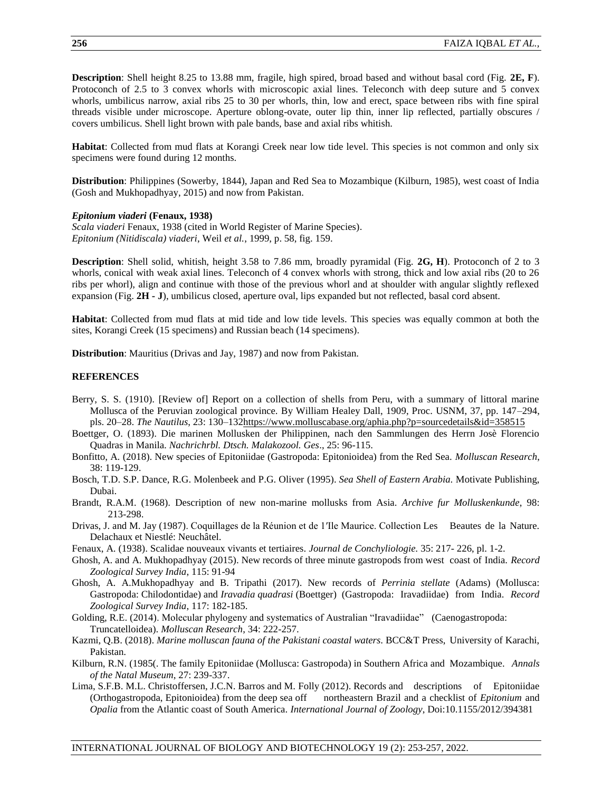**Description**: Shell height 8.25 to 13.88 mm, fragile, high spired, broad based and without basal cord (Fig. **2E, F**). Protoconch of 2.5 to 3 convex whorls with microscopic axial lines. Teleconch with deep suture and 5 convex whorls, umbilicus narrow, axial ribs 25 to 30 per whorls, thin, low and erect, space between ribs with fine spiral threads visible under microscope. Aperture oblong-ovate, outer lip thin, inner lip reflected, partially obscures / covers umbilicus. Shell light brown with pale bands, base and axial ribs whitish.

**Habitat**: Collected from mud flats at Korangi Creek near low tide level. This species is not common and only six specimens were found during 12 months.

**Distribution**: Philippines (Sowerby, 1844), Japan and Red Sea to Mozambique (Kilburn, 1985), west coast of India (Gosh and Mukhopadhyay, 2015) and now from Pakistan.

### *Epitonium viaderi* **(Fenaux, 1938)**

*Scala viaderi* Fenaux, 1938 (cited in World Register of Marine Species). *Epitonium (Nitidiscala) viaderi*, Weil *et al.*, 1999, p. 58, fig. 159.

**Description**: Shell solid, whitish, height 3.58 to 7.86 mm, broadly pyramidal (Fig. **2G, H**). Protoconch of 2 to 3 whorls, conical with weak axial lines. Teleconch of 4 convex whorls with strong, thick and low axial ribs (20 to 26 ribs per whorl), align and continue with those of the previous whorl and at shoulder with angular slightly reflexed expansion (Fig. **2H - J**), umbilicus closed, aperture oval, lips expanded but not reflected, basal cord absent.

**Habitat**: Collected from mud flats at mid tide and low tide levels. This species was equally common at both the sites, Korangi Creek (15 specimens) and Russian beach (14 specimens).

**Distribution**: Mauritius (Drivas and Jay, 1987) and now from Pakistan.

### **REFERENCES**

- Berry, S. S. (1910). [Review of] Report on a collection of shells from Peru, with a summary of littoral marine Mollusca of the Peruvian zoological province. By William Healey Dall, 1909, Proc. USNM, 37, pp. 147–294, pls. 20–28. *The Nautilus*, 23: 130–13[2https://www.molluscabase.org/aphia.php?p=sourcedetails&id=358515](https://www.molluscabase.org/aphia.php?p=sourcedetails&id=358515)
- Boettger, O. (1893). Die marinen Mollusken der Philippinen, nach den Sammlungen des Herrn Josè Florencio Quadras in Manila. *Nachrichrbl. Dtsch. Malakozool. Ges*., 25: 96-115.
- Bonfitto, A. (2018). New species of Epitoniidae (Gastropoda: Epitonioidea) from the Red Sea. *Molluscan Res*e*arch*, 38: 119-129.
- Bosch, T.D. S.P. Dance, R.G. Molenbeek and P.G. Oliver (1995). *Sea Shell of Eastern Arabia.* Motivate Publishing, Dubai.
- Brandt, R.A.M. (1968). Description of new non-marine mollusks from Asia. *Archive fur Molluskenkunde*, 98: 213-298.
- Drivas, J. and M. Jay (1987). Coquillages de la Réunion et de 1ʹIle Maurice. Collection Les Beautes de la Nature. Delachaux et Niestlé: Neuchâtel.
- Fenaux, A. (1938). Scalidae nouveaux vivants et tertiaires. *Journal de Conchyliologie.* 35: 217- 226, pl. 1-2.
- Ghosh, A. and A. Mukhopadhyay (2015). New records of three minute gastropods from west coast of India. *Record Zoological Survey India*, 115: 91-94
- Ghosh, A. A.Mukhopadhyay and B. Tripathi (2017). New records of *Perrinia stellate* (Adams) (Mollusca: Gastropoda: Chilodontidae) and *Iravadia quadrasi* (Boettger) (Gastropoda: Iravadiidae) from India. *Record Zoological Survey India*, 117: 182-185.
- Golding, R.E. (2014). Molecular phylogeny and systematics of Australian "Iravadiidae" (Caenogastropoda: Truncatelloidea). *Molluscan Research*, 34: 222-257.
- Kazmi, Q.B. (2018). *Marine molluscan fauna of the Pakistani coastal waters*. BCC&T Press, University of Karachi, Pakistan.
- Kilburn, R.N. (1985(. The family Epitoniidae (Mollusca: Gastropoda) in Southern Africa and Mozambique. *Annals of the Natal Museum*, 27: 239-337.
- Lima, S.F.B. M.L. Christoffersen, J.C.N. Barros and M. Folly (2012). Records and descriptions of Epitoniidae (Orthogastropoda, Epitonioidea) from the deep sea off northeastern Brazil and a checklist of *Epitonium* and *Opalia* from the Atlantic coast of South America. *International Journal of Zoology*, Doi:10.1155/2012/394381